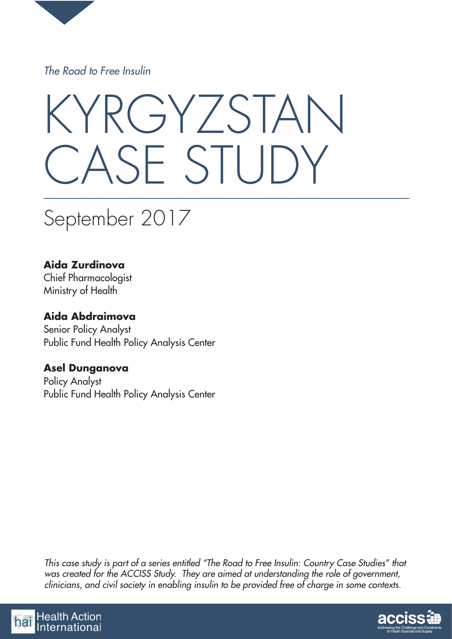

*The Road to Free Insulin*

# KYRGYZSTAN CASE STUDY

# September 2017

#### **Aida Zurdinova**

Chief Pharmacologist Ministry of Health

### **Aida Abdraimova**

Senior Policy Analyst Public Fund Health Policy Analysis Center

## **Asel Dunganova**

Policy Analyst Public Fund Health Policy Analysis Center

*This case study is part of a series entitled "The Road to Free Insulin: Country Case Studies" that was created for the ACCISS Study. They are aimed at understanding the role of government, clinicians, and civil society in enabling insulin to be provided free of charge in some contexts.*



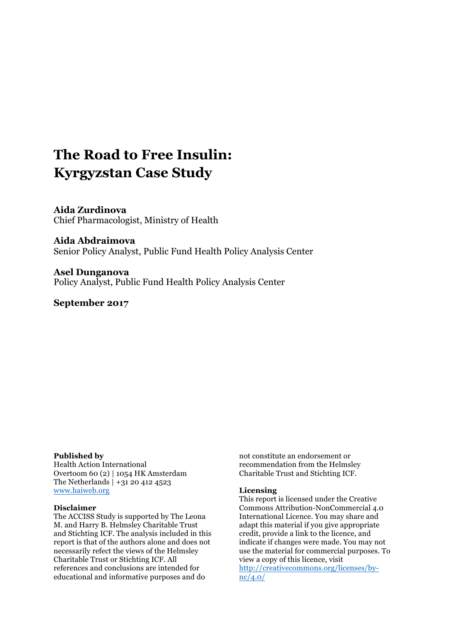# **The Road to Free Insulin: Kyrgyzstan Case Study**

**Aida Zurdinova**  Chief Pharmacologist, Ministry of Health

**Aida Abdraimova**  Senior Policy Analyst, Public Fund Health Policy Analysis Center

**Asel Dunganova**  Policy Analyst, Public Fund Health Policy Analysis Center

**September 2017** 

#### **Published by**

Health Action International Overtoom 60 (2) | 1054 HK Amsterdam The Netherlands | +31 20 412 4523 [www.haiweb.org](http://www.haiweb.org)

#### **Disclaimer**

The ACCISS Study is supported by The Leona M. and Harry B. Helmsley Charitable Trust and Stichting ICF. The analysis included in this report is that of the authors alone and does not necessarily refect the views of the Helmsley Charitable Trust or Stichting ICF. All references and conclusions are intended for educational and informative purposes and do

not constitute an endorsement or recommendation from the Helmsley Charitable Trust and Stichting ICF.

#### **Licensing**

This report is licensed under the Creative Commons Attribution-NonCommercial 4.0 International Licence. You may share and adapt this material if you give appropriate credit, provide a link to the licence, and indicate if changes were made. You may not use the material for commercial purposes. To view a copy of this licence, visit [http://creativecommons.org/licenses/by](http://creativecommons.org/licenses/by-nc/4.0/) $nc/4.0/$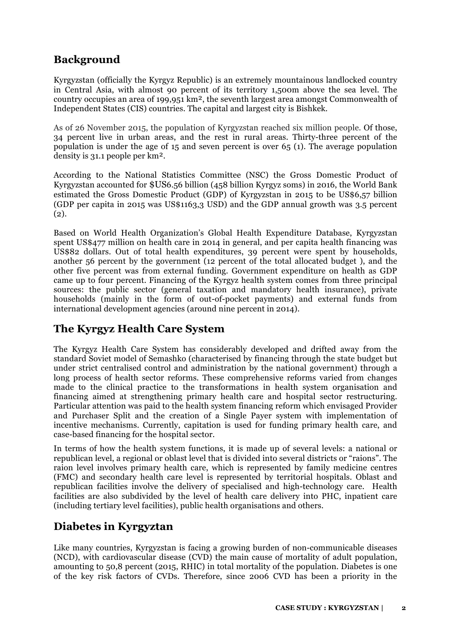#### **Background**

Kyrgyzstan (officially the Kyrgyz Republic) is an extremely mountainous landlocked country in Central Asia, with almost 90 percent of its territory 1,500m above the sea level. The country occupies an area of 199,951 km², the seventh largest area amongst Commonwealth of Independent States (CIS) countries. The [capital](https://en.wikipedia.org/wiki/Capital_city) and [largest city](https://en.wikipedia.org/wiki/List_of_cities_in_Kyrgyzstan) is [Bishkek](https://en.wikipedia.org/wiki/Bishkek).

As of 26 November 2015, the population of Kyrgyzstan reached six million people. Of those, 34 percent live in urban areas, and the rest in rural areas. Thirty-three percent of the population is under the age of 15 and seven percent is over 65 (1). The average population density is 31.1 people per km².

According to the National Statistics Committee (NSC) the Gross Domestic Product of Kyrgyzstan accounted for \$US6.56 billion (458 billion Kyrgyz soms) in 2016, the World Bank estimated the Gross Domestic Product (GDP) of Kyrgyzstan in 2015 to be US\$6,57 billion (GDP per capita in 2015 was US\$1163,3 USD) and the GDP annual growth was 3.5 percent  $(2).$ 

Based on World Health Organization's Global Health Expenditure Database, Kyrgyzstan spent US\$477 million on health care in 2014 in general, and per capita health financing was US\$82 dollars. Out of total health expenditures, 39 percent were spent by households, another 56 percent by the government (12 percent of the total allocated budget ), and the other five percent was from external funding. Government expenditure on health as GDP came up to four percent. Financing of the Kyrgyz health system comes from three principal sources: the public sector (general taxation and mandatory health insurance), private households (mainly in the form of out-of-pocket payments) and external funds from international development agencies (around nine percent in 2014).

#### **The Kyrgyz Health Care System**

The Kyrgyz Health Care System has considerably developed and drifted away from the standard Soviet model of Semashko (characterised by financing through the state budget but under strict centralised control and administration by the national government) through a long process of health sector reforms. These comprehensive reforms varied from changes made to the clinical practice to the transformations in health system organisation and financing aimed at strengthening primary health care and hospital sector restructuring. Particular attention was paid to the health system financing reform which envisaged Provider and Purchaser Split and the creation of a Single Payer system with implementation of incentive mechanisms. Currently, capitation is used for funding primary health care, and case-based financing for the hospital sector.

In terms of how the health system functions, it is made up of several levels: a national or republican level, a regional or oblast level that is divided into several districts or "raions". The raion level involves primary health care, which is represented by family medicine centres (FMC) and secondary health care level is represented by territorial hospitals. Oblast and republican facilities involve the delivery of specialised and high-technology care. Health facilities are also subdivided by the level of health care delivery into PHC, inpatient care (including tertiary level facilities), public health organisations and others.

#### **Diabetes in Kyrgyztan**

Like many countries, Kyrgyzstan is facing a growing burden of non-communicable diseases (NCD), with cardiovascular disease (CVD) the main cause of mortality of adult population, amounting to 50,8 percent (2015, RHIC) in total mortality of the population. Diabetes is one of the key risk factors of CVDs. Therefore, since 2006 CVD has been a priority in the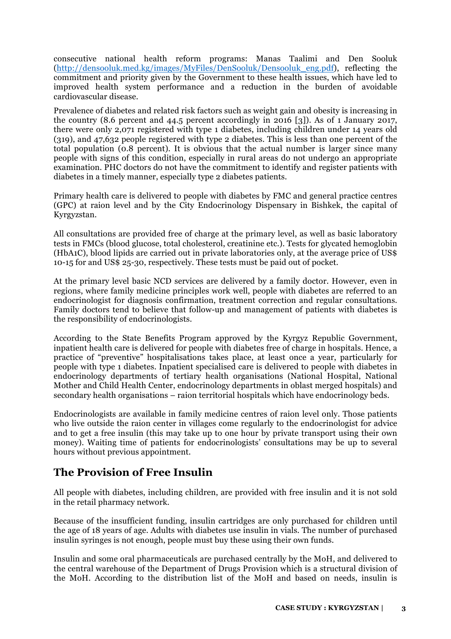consecutive national health reform programs: Manas Taalimi and Den Sooluk [\(http://densooluk.med.kg/images/MyFiles/DenSooluk/Densooluk\\_eng.pdf](http://densooluk.med.kg/images/MyFiles/DenSooluk/Densooluk_eng.pdf)), reflecting the commitment and priority given by the Government to these health issues, which have led to improved health system performance and a reduction in the burden of avoidable cardiovascular disease.

Prevalence of diabetes and related risk factors such as weight gain and obesity is increasing in the country (8.6 percent and 44.5 percent accordingly in 2016 [3]). As of 1 January 2017, there were only 2,071 registered with type 1 diabetes, including children under 14 years old (319), and 47,632 people registered with type 2 diabetes. This is less than one percent of the total population (0.8 percent). It is obvious that the actual number is larger since many people with signs of this condition, especially in rural areas do not undergo an appropriate examination. PHC doctors do not have the commitment to identify and register patients with diabetes in a timely manner, especially type 2 diabetes patients.

Primary health care is delivered to people with diabetes by FMC and general practice centres (GPC) at raion level and by the City Endocrinology Dispensary in Bishkek, the capital of Kyrgyzstan.

All consultations are provided free of charge at the primary level, as well as basic laboratory tests in FMCs (blood glucose, total cholesterol, creatinine etc.). Tests for glycated hemoglobin (HbA1C), blood lipids are carried out in private laboratories only, at the average price of US\$ 10-15 for and US\$ 25-30, respectively. These tests must be paid out of pocket.

At the primary level basic NCD services are delivered by a family doctor. However, even in regions, where family medicine principles work well, people with diabetes are referred to an endocrinologist for diagnosis confirmation, treatment correction and regular consultations. Family doctors tend to believe that follow-up and management of patients with diabetes is the responsibility of endocrinologists.

According to the State Benefits Program approved by the Kyrgyz Republic Government, inpatient health care is delivered for people with diabetes free of charge in hospitals. Hence, a practice of "preventive" hospitalisations takes place, at least once a year, particularly for people with type 1 diabetes. Inpatient specialised care is delivered to people with diabetes in endocrinology departments of tertiary health organisations (National Hospital, National Mother and Child Health Center, endocrinology departments in oblast merged hospitals) and secondary health organisations – raion territorial hospitals which have endocrinology beds.

Endocrinologists are available in family medicine centres of raion level only. Those patients who live outside the raion center in villages come regularly to the endocrinologist for advice and to get a free insulin (this may take up to one hour by private transport using their own money). Waiting time of patients for endocrinologists' consultations may be up to several hours without previous appointment.

#### **The Provision of Free Insulin**

All people with diabetes, including children, are provided with free insulin and it is not sold in the retail pharmacy network.

Because of the insufficient funding, insulin cartridges are only purchased for children until the age of 18 years of age. Adults with diabetes use insulin in vials. The number of purchased insulin syringes is not enough, people must buy these using their own funds.

Insulin and some oral pharmaceuticals are purchased centrally by the MoH, and delivered to the central warehouse of the Department of Drugs Provision which is a structural division of the MoH. According to the distribution list of the MoH and based on needs, insulin is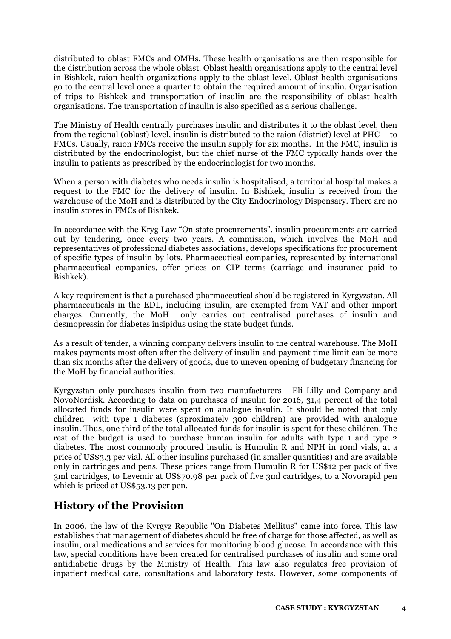distributed to oblast FMCs and OMHs. These health organisations are then responsible for the distribution across the whole oblast. Oblast health organisations apply to the central level in Bishkek, raion health organizations apply to the oblast level. Oblast health organisations go to the central level once a quarter to obtain the required amount of insulin. Organisation of trips to Bishkek and transportation of insulin are the responsibility of oblast health organisations. The transportation of insulin is also specified as a serious challenge.

The Ministry of Health centrally purchases insulin and distributes it to the oblast level, then from the regional (oblast) level, insulin is distributed to the raion (district) level at PHC – to FMCs. Usually, raion FMCs receive the insulin supply for six months. In the FMC, insulin is distributed by the endocrinologist, but the chief nurse of the FMC typically hands over the insulin to patients as prescribed by the endocrinologist for two months.

When a person with diabetes who needs insulin is hospitalised, a territorial hospital makes a request to the FMC for the delivery of insulin. In Bishkek, insulin is received from the warehouse of the MoH and is distributed by the City Endocrinology Dispensary. There are no insulin stores in FMCs of Bishkek.

In accordance with the Kryg Law "On state procurements", insulin procurements are carried out by tendering, once every two years. A commission, which involves the MoH and representatives of professional diabetes associations, develops specifications for procurement of specific types of insulin by lots. Pharmaceutical companies, represented by international pharmaceutical companies, offer prices on CIP terms (carriage and insurance paid to Bishkek).

A key requirement is that a purchased pharmaceutical should be registered in Kyrgyzstan. All pharmaceuticals in the EDL, including insulin, are exempted from VAT and other import charges. Currently, the MoH only carries out centralised purchases of insulin and desmopressin for diabetes insipidus using the state budget funds.

As a result of tender, a winning company delivers insulin to the central warehouse. The MoH makes payments most often after the delivery of insulin and payment time limit can be more than six months after the delivery of goods, due to uneven opening of budgetary financing for the MoH by financial authorities.

Kyrgyzstan only purchases insulin from two manufacturers - Eli Lilly and Company and NovoNordisk. According to data on purchases of insulin for 2016, 31,4 percent of the total allocated funds for insulin were spent on analogue insulin. It should be noted that only children with type 1 diabetes (aproximately 300 children) are provided with analogue insulin. Thus, one third of the total allocated funds for insulin is spent for these children. The rest of the budget is used to purchase human insulin for adults with type 1 and type 2 diabetes. The most commonly procured insulin is Humulin R and NPH in 10ml vials, at a price of US\$3.3 per vial. All other insulins purchased (in smaller quantities) and are available only in cartridges and pens. These prices range from Humulin R for US\$12 per pack of five 3ml cartridges, to Levemir at US\$70.98 per pack of five 3ml cartridges, to a Novorapid pen which is priced at US\$53.13 per pen.

#### **History of the Provision**

In 2006, the law of the Kyrgyz Republic "On Diabetes Mellitus" came into force. This law establishes that management of diabetes should be free of charge for those affected, as well as insulin, oral medications and services for monitoring blood glucose. In accordance with this law, special conditions have been created for centralised purchases of insulin and some oral antidiabetic drugs by the Ministry of Health. This law also regulates free provision of inpatient medical care, consultations and laboratory tests. However, some components of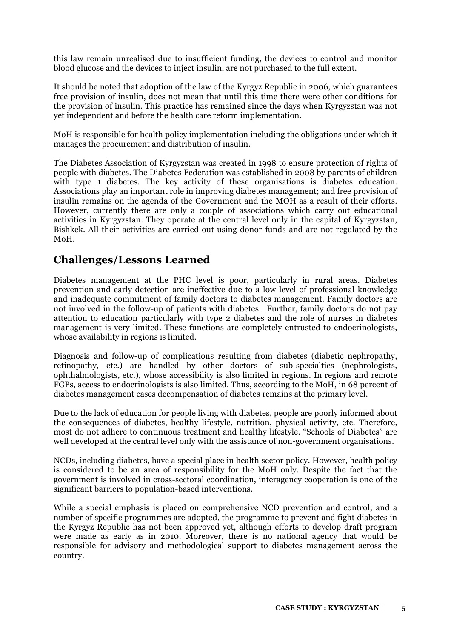this law remain unrealised due to insufficient funding, the devices to control and monitor blood glucose and the devices to inject insulin, are not purchased to the full extent.

It should be noted that adoption of the law of the Kyrgyz Republic in 2006, which guarantees free provision of insulin, does not mean that until this time there were other conditions for the provision of insulin. This practice has remained since the days when Kyrgyzstan was not yet independent and before the health care reform implementation.

MoH is responsible for health policy implementation including the obligations under which it manages the procurement and distribution of insulin.

The Diabetes Association of Kyrgyzstan was created in 1998 to ensure protection of rights of people with diabetes. The Diabetes Federation was established in 2008 by parents of children with type 1 diabetes. The key activity of these organisations is diabetes education. Associations play an important role in improving diabetes management; and free provision of insulin remains on the agenda of the Government and the MOH as a result of their efforts. However, currently there are only a couple of associations which carry out educational activities in Kyrgyzstan. They operate at the central level only in the capital of Kyrgyzstan, Bishkek. All their activities are carried out using donor funds and are not regulated by the MoH.

#### **Challenges/Lessons Learned**

Diabetes management at the PHC level is poor, particularly in rural areas. Diabetes prevention and early detection are ineffective due to a low level of professional knowledge and inadequate commitment of family doctors to diabetes management. Family doctors are not involved in the follow-up of patients with diabetes. Further, family doctors do not pay attention to education particularly with type 2 diabetes and the role of nurses in diabetes management is very limited. These functions are completely entrusted to endocrinologists, whose availability in regions is limited.

Diagnosis and follow-up of complications resulting from diabetes (diabetic nephropathy, retinopathy, etc.) are handled by other doctors of sub-specialties (nephrologists, ophthalmologists, etc.), whose accessibility is also limited in regions. In regions and remote FGPs, access to endocrinologists is also limited. Thus, according to the MoH, in 68 percent of diabetes management cases decompensation of diabetes remains at the primary level.

Due to the lack of education for people living with diabetes, people are poorly informed about the consequences of diabetes, healthy lifestyle, nutrition, physical activity, etc. Therefore, most do not adhere to continuous treatment and healthy lifestyle. "Schools of Diabetes" are well developed at the central level only with the assistance of non-government organisations.

NCDs, including diabetes, have a special place in health sector policy. However, health policy is considered to be an area of responsibility for the MoH only. Despite the fact that the government is involved in cross-sectoral coordination, interagency cooperation is one of the significant barriers to population-based interventions.

While a special emphasis is placed on comprehensive NCD prevention and control; and a number of specific programmes are adopted, the programme to prevent and fight diabetes in the Kyrgyz Republic has not been approved yet, although efforts to develop draft program were made as early as in 2010. Moreover, there is no national agency that would be responsible for advisory and methodological support to diabetes management across the country.